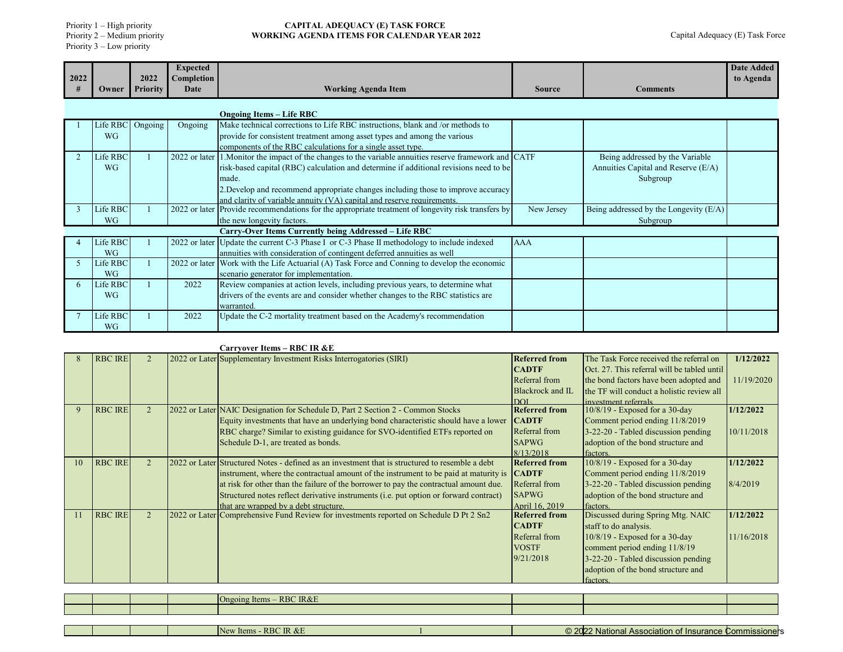Priority 1 – High priority

Priority 2 – Medium priority Priority 3 – Low priority

### **CAPITAL ADEQUACY (E) TASK FORCE WORKING AGENDA ITEMS FOR CALENDAR YEAR 2022**

| 2022 |           | 2022     | <b>Expected</b><br>Completion |                                                                                                    |               |                                        | <b>Date Added</b><br>to Agenda |
|------|-----------|----------|-------------------------------|----------------------------------------------------------------------------------------------------|---------------|----------------------------------------|--------------------------------|
|      | Owner     | Priority | Date                          | <b>Working Agenda Item</b>                                                                         | <b>Source</b> | <b>Comments</b>                        |                                |
|      |           |          |                               | <b>Ongoing Items – Life RBC</b>                                                                    |               |                                        |                                |
|      | Life RBC  | Ongoing  | Ongoing                       | Make technical corrections to Life RBC instructions, blank and /or methods to                      |               |                                        |                                |
|      | <b>WG</b> |          |                               | provide for consistent treatment among asset types and among the various                           |               |                                        |                                |
|      |           |          |                               | components of the RBC calculations for a single asset type.                                        |               |                                        |                                |
|      | Life RBC  |          | $2022$ or later               | 1. Monitor the impact of the changes to the variable annuities reserve framework and CATF          |               | Being addressed by the Variable        |                                |
|      | <b>WG</b> |          |                               | risk-based capital (RBC) calculation and determine if additional revisions need to be              |               | Annuities Capital and Reserve (E/A)    |                                |
|      |           |          |                               | made.                                                                                              |               | Subgroup                               |                                |
|      |           |          |                               | 2. Develop and recommend appropriate changes including those to improve accuracy                   |               |                                        |                                |
|      |           |          |                               | and clarity of variable annuity (VA) capital and reserve requirements.                             |               |                                        |                                |
|      | Life RBC  |          |                               | 2022 or later Provide recommendations for the appropriate treatment of longevity risk transfers by | New Jersey    | Being addressed by the Longevity (E/A) |                                |
|      | <b>WG</b> |          |                               | the new longevity factors.                                                                         |               | Subgroup                               |                                |
|      |           |          |                               | Carry-Over Items Currently being Addressed - Life RBC                                              |               |                                        |                                |
|      | Life RBC  |          |                               | 2022 or later Update the current C-3 Phase I or C-3 Phase II methodology to include indexed        | <b>AAA</b>    |                                        |                                |
|      | <b>WG</b> |          |                               | annuities with consideration of contingent deferred annuities as well                              |               |                                        |                                |
|      | Life RBC  |          |                               | 2022 or later Work with the Life Actuarial (A) Task Force and Conning to develop the economic      |               |                                        |                                |
|      | <b>WG</b> |          |                               | scenario generator for implementation.                                                             |               |                                        |                                |
| 6    | Life RBC  |          | 2022                          | Review companies at action levels, including previous years, to determine what                     |               |                                        |                                |
|      | <b>WG</b> |          |                               | drivers of the events are and consider whether changes to the RBC statistics are                   |               |                                        |                                |
|      |           |          |                               | warranted.                                                                                         |               |                                        |                                |
|      | Life RBC  |          | 2022                          | Update the C-2 mortality treatment based on the Academy's recommendation                           |               |                                        |                                |
|      | <b>WG</b> |          |                               |                                                                                                    |               |                                        |                                |

# **Carryover Items – RBC IR &E**

|    | <b>RBC IRE</b> |                | 2022 or Later Supplementary Investment Risks Interrogatories (SIRI)                             | <b>Referred from</b> | The Task Force received the referral on     | 1/12/2022  |
|----|----------------|----------------|-------------------------------------------------------------------------------------------------|----------------------|---------------------------------------------|------------|
|    |                |                |                                                                                                 | <b>CADTF</b>         | Oct. 27. This referral will be tabled until |            |
|    |                |                |                                                                                                 | Referral from        | the bond factors have been adopted and      | 11/19/2020 |
|    |                |                |                                                                                                 | Blackrock and IL     | the TF will conduct a holistic review all   |            |
|    |                |                |                                                                                                 | DOI                  | investment referrals                        |            |
| 9  | <b>RBC IRE</b> | $\overline{2}$ | 2022 or Later NAIC Designation for Schedule D, Part 2 Section 2 - Common Stocks                 | <b>Referred from</b> | $10/8/19$ - Exposed for a 30-day            | 1/12/2022  |
|    |                |                | Equity investments that have an underlying bond characteristic should have a lower              | <b>CADTF</b>         | Comment period ending 11/8/2019             |            |
|    |                |                | RBC charge? Similar to existing guidance for SVO-identified ETFs reported on                    | Referral from        | $3-22-20$ - Tabled discussion pending       | 10/11/2018 |
|    |                |                | Schedule D-1, are treated as bonds.                                                             | <b>SAPWG</b>         | adoption of the bond structure and          |            |
|    |                |                |                                                                                                 | 8/13/2018            | factors.                                    |            |
| 10 | <b>RBC IRE</b> | $\mathfrak{D}$ | 2022 or Later Structured Notes - defined as an investment that is structured to resemble a debt | <b>Referred from</b> | 10/8/19 - Exposed for a 30-day              | 1/12/2022  |
|    |                |                | instrument, where the contractual amount of the instrument to be paid at maturity is            | <b>CADTF</b>         | Comment period ending 11/8/2019             |            |
|    |                |                | at risk for other than the failure of the borrower to pay the contractual amount due.           | Referral from        | 3-22-20 - Tabled discussion pending         | 8/4/2019   |
|    |                |                | Structured notes reflect derivative instruments (i.e. put option or forward contract)           | <b>SAPWG</b>         | adoption of the bond structure and          |            |
|    |                |                | that are wrapped by a debt structure.                                                           | April 16, 2019       | factors.                                    |            |
| 11 | <b>RBC IRE</b> | $\overline{2}$ | 2022 or Later Comprehensive Fund Review for investments reported on Schedule D Pt 2 Sn2         | <b>Referred from</b> | Discussed during Spring Mtg. NAIC           | 1/12/2022  |
|    |                |                |                                                                                                 | <b>CADTF</b>         | staff to do analysis.                       |            |
|    |                |                |                                                                                                 | Referral from        | $10/8/19$ - Exposed for a 30-day            | 11/16/2018 |
|    |                |                |                                                                                                 | <b>VOSTF</b>         | comment period ending 11/8/19               |            |
|    |                |                |                                                                                                 | 9/21/2018            | 3-22-20 - Tabled discussion pending         |            |
|    |                |                |                                                                                                 |                      | adoption of the bond structure and          |            |
|    |                |                |                                                                                                 |                      | factors.                                    |            |

|  | - RBC IR&E<br>Ongoing Items |  |  |
|--|-----------------------------|--|--|
|  |                             |  |  |

|  |  | IX.<br>$+0.02$<br>--<br>INDI<br>$\cdots$<br><b>ILCITA</b> | I<br>$\sim$ $\sim$ $\sim$<br>.<br>$\sim$<br>niona<br>пылаке<br>.<br>— Българията<br>. | ט וטו |
|--|--|-----------------------------------------------------------|---------------------------------------------------------------------------------------|-------|
|  |  |                                                           |                                                                                       |       |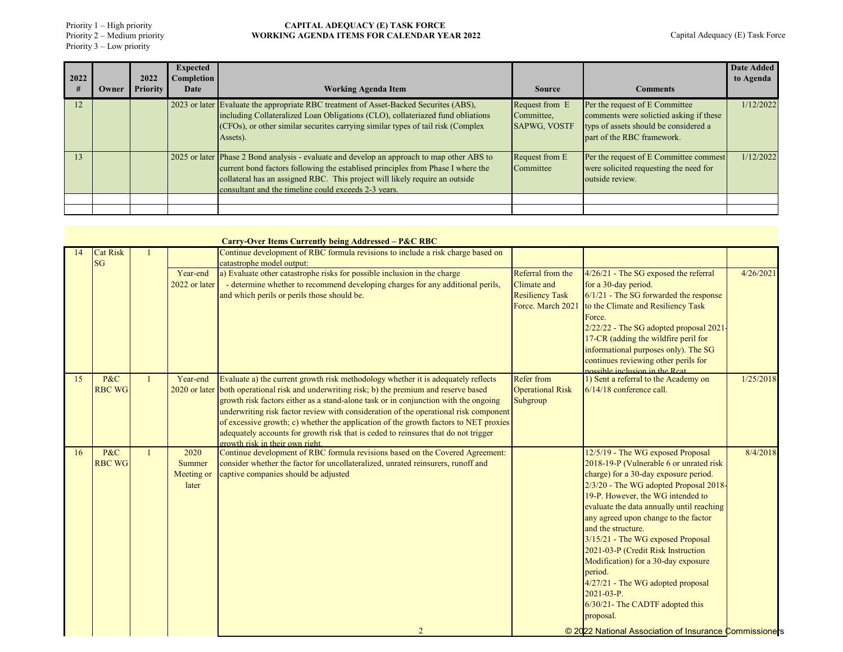Priority 1 – High priority Priority 2 – Medium priority Priority 3 – Low priority

| 2022            |       | 2022            | <b>Expected</b><br><b>Completion</b> |                                                                                                                                                                                                                                                                                                                      |                                                     |                                                                                                                                                  | Date Added<br>to Agenda |
|-----------------|-------|-----------------|--------------------------------------|----------------------------------------------------------------------------------------------------------------------------------------------------------------------------------------------------------------------------------------------------------------------------------------------------------------------|-----------------------------------------------------|--------------------------------------------------------------------------------------------------------------------------------------------------|-------------------------|
| #               | Owner | <b>Priority</b> | Date                                 | <b>Working Agenda Item</b>                                                                                                                                                                                                                                                                                           | <b>Source</b>                                       | <b>Comments</b>                                                                                                                                  |                         |
| 12              |       |                 |                                      | 2023 or later Evaluate the appropriate RBC treatment of Asset-Backed Securites (ABS),<br>including Collateralized Loan Obligations (CLO), collateriazed fund obliations<br>(CFOs), or other similar securities carrying similar types of tail risk (Complex<br>Assets).                                              | Request from E<br>Committee,<br><b>SAPWG, VOSTF</b> | Per the request of E Committee<br>comments were solictied asking if these<br>typs of assets should be considered a<br>part of the RBC framework. | 1/12/2022               |
| $\overline{13}$ |       |                 |                                      | 2025 or later Phase 2 Bond analysis - evaluate and develop an approach to map other ABS to<br>current bond factors following the establised principles from Phase I where the<br>collateral has an assigned RBC. This project will likely require an outside<br>consultant and the timeline could exceeds 2-3 years. | Request from E<br>Committee                         | Per the request of E Committee commest<br>were solicited requesting the need for<br>outside review.                                              | 1/12/2022               |
|                 |       |                 |                                      |                                                                                                                                                                                                                                                                                                                      |                                                     |                                                                                                                                                  |                         |
|                 |       |                 |                                      |                                                                                                                                                                                                                                                                                                                      |                                                     |                                                                                                                                                  |                         |

|    |                 |               | <b>Carry-Over Items Currently being Addressed – P&amp;C RBC</b>                                                                                                            |                         |                                                                              |           |
|----|-----------------|---------------|----------------------------------------------------------------------------------------------------------------------------------------------------------------------------|-------------------------|------------------------------------------------------------------------------|-----------|
|    | <b>Cat Risk</b> |               | Continue development of RBC formula revisions to include a risk charge based on                                                                                            |                         |                                                                              |           |
|    | <b>SG</b>       | Year-end      | catastrophe model output:<br>a) Evaluate other catastrophe risks for possible inclusion in the charge                                                                      | Referral from the       | $4/26/21$ - The SG exposed the referral                                      | 4/26/2021 |
|    |                 | 2022 or later | - determine whether to recommend developing charges for any additional perils,                                                                                             | Climate and             | for a 30-day period.                                                         |           |
|    |                 |               | and which perils or perils those should be.                                                                                                                                | <b>Resiliency Task</b>  | $6/1/21$ - The SG forwarded the response                                     |           |
|    |                 |               |                                                                                                                                                                            | Force. March 202        | to the Climate and Resiliency Task                                           |           |
|    |                 |               |                                                                                                                                                                            |                         | Force.                                                                       |           |
|    |                 |               |                                                                                                                                                                            |                         | 2/22/22 - The SG adopted proposal 2021-                                      |           |
|    |                 |               |                                                                                                                                                                            |                         | 17-CR (adding the wildfire peril for                                         |           |
|    |                 |               |                                                                                                                                                                            |                         | informational purposes only). The SG<br>continues reviewing other perils for |           |
|    |                 |               |                                                                                                                                                                            |                         | possible inclusion in the Reat                                               |           |
| 15 | P&C             | Year-end      | Evaluate a) the current growth risk methodology whether it is adequately reflects                                                                                          | <b>Refer from</b>       | 1) Sent a referral to the Academy on                                         | 1/25/2018 |
|    | <b>RBC WG</b>   |               | 2020 or later both operational risk and underwriting risk; b) the premium and reserve based                                                                                | <b>Operational Risk</b> | $6/14/18$ conference call.                                                   |           |
|    |                 |               | growth risk factors either as a stand-alone task or in conjunction with the ongoing                                                                                        | Subgroup                |                                                                              |           |
|    |                 |               | underwriting risk factor review with consideration of the operational risk component                                                                                       |                         |                                                                              |           |
|    |                 |               | of excessive growth; c) whether the application of the growth factors to NET proxies<br>adequately accounts for growth risk that is ceded to reinsures that do not trigger |                         |                                                                              |           |
|    |                 |               | growth risk in their own right.                                                                                                                                            |                         |                                                                              |           |
| 16 | P&C             | 2020          | Continue development of RBC formula revisions based on the Covered Agreement:                                                                                              |                         | 12/5/19 - The WG exposed Proposal                                            | 8/4/2018  |
|    | <b>RBC WG</b>   | Summer        | consider whether the factor for uncollateralized, unrated reinsurers, runoff and                                                                                           |                         | 2018-19-P (Vulnerable 6 or unrated risk                                      |           |
|    |                 | Meeting or    | captive companies should be adjusted                                                                                                                                       |                         | charge) for a 30-day exposure period.                                        |           |
|    |                 | later         |                                                                                                                                                                            |                         | 2/3/20 - The WG adopted Proposal 2018-<br>19-P. However, the WG intended to  |           |
|    |                 |               |                                                                                                                                                                            |                         | evaluate the data annually until reaching                                    |           |
|    |                 |               |                                                                                                                                                                            |                         | any agreed upon change to the factor                                         |           |
|    |                 |               |                                                                                                                                                                            |                         | and the structure.                                                           |           |
|    |                 |               |                                                                                                                                                                            |                         | 3/15/21 - The WG exposed Proposal                                            |           |
|    |                 |               |                                                                                                                                                                            |                         | 2021-03-P (Credit Risk Instruction                                           |           |
|    |                 |               |                                                                                                                                                                            |                         | Modification) for a 30-day exposure                                          |           |
|    |                 |               |                                                                                                                                                                            |                         | period.                                                                      |           |
|    |                 |               |                                                                                                                                                                            |                         | 4/27/21 - The WG adopted proposal<br>$2021 - 03 - P$ .                       |           |
|    |                 |               |                                                                                                                                                                            |                         | $6/30/21$ - The CADTF adopted this                                           |           |
|    |                 |               |                                                                                                                                                                            |                         | proposal.                                                                    |           |
|    |                 |               | $\overline{2}$                                                                                                                                                             |                         | © 2022 National Association of Insurance Commissioners                       |           |
|    |                 |               |                                                                                                                                                                            |                         |                                                                              |           |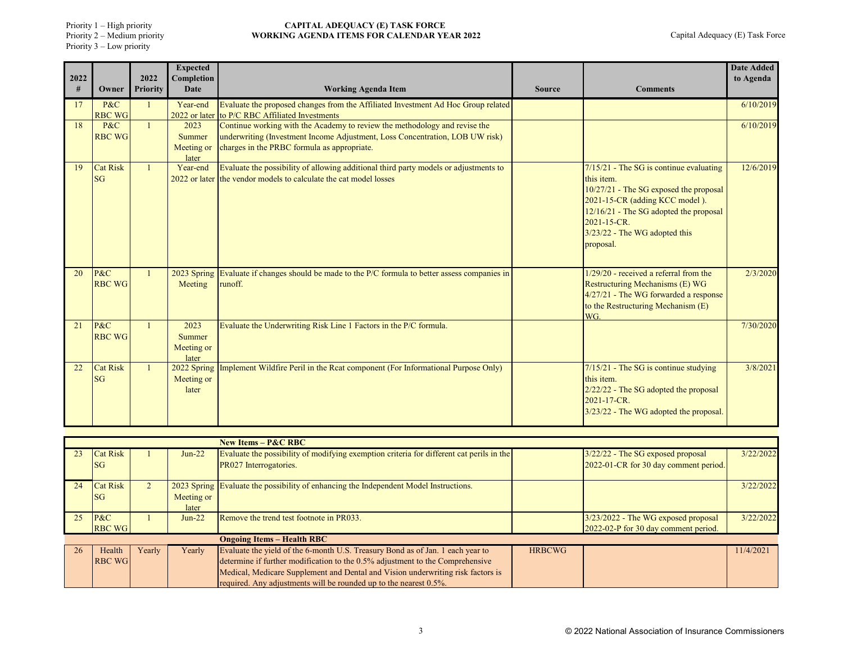Priority 1 – High priority

Priority 2 – Medium priority Priority 3 – Low priority

| 2022 |                              | 2022            | <b>Expected</b><br>Completion         |                                                                                                                                                            |               |                                                                                                                                                                                                                                            | <b>Date Added</b><br>to Agenda |
|------|------------------------------|-----------------|---------------------------------------|------------------------------------------------------------------------------------------------------------------------------------------------------------|---------------|--------------------------------------------------------------------------------------------------------------------------------------------------------------------------------------------------------------------------------------------|--------------------------------|
| #    | Owner                        | <b>Priority</b> | <b>Date</b>                           | <b>Working Agenda Item</b>                                                                                                                                 | <b>Source</b> | <b>Comments</b>                                                                                                                                                                                                                            |                                |
| 17   | P&C<br><b>RBC WG</b>         |                 | Year-end                              | Evaluate the proposed changes from the Affiliated Investment Ad Hoc Group related<br>2022 or later to P/C RBC Affiliated Investments                       |               |                                                                                                                                                                                                                                            | 6/10/2019                      |
| 18   | P&C<br><b>RBC WG</b>         | $\mathbf{1}$    | 2023<br>Summer                        | Continue working with the Academy to review the methodology and revise the<br>underwriting (Investment Income Adjustment, Loss Concentration, LOB UW risk) |               |                                                                                                                                                                                                                                            | 6/10/2019                      |
|      |                              |                 | Meeting or<br>later                   | charges in the PRBC formula as appropriate.                                                                                                                |               |                                                                                                                                                                                                                                            |                                |
| 19   | <b>Cat Risk</b><br>SG        |                 | Year-end                              | Evaluate the possibility of allowing additional third party models or adjustments to<br>2022 or later the vendor models to calculate the cat model losses  |               | $7/15/21$ - The SG is continue evaluating<br>this item.<br>10/27/21 - The SG exposed the proposal<br>2021-15-CR (adding KCC model).<br>12/16/21 - The SG adopted the proposal<br>2021-15-CR.<br>3/23/22 - The WG adopted this<br>proposal. | 12/6/2019                      |
| 20   | P&C<br><b>RBC WG</b>         |                 | 2023 Spring<br>Meeting                | Evaluate if changes should be made to the P/C formula to better assess companies in<br>runoff.                                                             |               | $1/29/20$ - received a referral from the<br>Restructuring Mechanisms (E) WG<br>4/27/21 - The WG forwarded a response<br>to the Restructuring Mechanism (E)<br>WG.                                                                          | 2/3/2020                       |
| 21   | P&C<br><b>RBC WG</b>         |                 | 2023<br>Summer<br>Meeting or<br>later | Evaluate the Underwriting Risk Line 1 Factors in the P/C formula.                                                                                          |               |                                                                                                                                                                                                                                            | 7/30/2020                      |
| 22   | <b>Cat Risk</b><br><b>SG</b> |                 | 2022 Spring<br>Meeting or<br>later    | Implement Wildfire Peril in the Rcat component (For Informational Purpose Only)                                                                            |               | $7/15/21$ - The SG is continue studying<br>this item.<br>2/22/22 - The SG adopted the proposal<br>2021-17-CR.<br>3/23/22 - The WG adopted the proposal.                                                                                    | 3/8/2021                       |

|    |                         |        |                     | New Items $-$ P&C RBC                                                                                                                                                                                                                                                                                                   |               |                                                                             |           |
|----|-------------------------|--------|---------------------|-------------------------------------------------------------------------------------------------------------------------------------------------------------------------------------------------------------------------------------------------------------------------------------------------------------------------|---------------|-----------------------------------------------------------------------------|-----------|
| 23 | Cat Risk<br><b>SG</b>   |        | $Jun-22$            | Evaluate the possibility of modifying exemption criteria for different cat perils in the<br>PR027 Interrogatories.                                                                                                                                                                                                      |               | 3/22/22 - The SG exposed proposal<br>2022-01-CR for 30 day comment period.  | 3/22/2022 |
| 24 | Cat Risk<br><b>SG</b>   |        | Meeting or<br>later | 2023 Spring Evaluate the possibility of enhancing the Independent Model Instructions.                                                                                                                                                                                                                                   |               |                                                                             | 3/22/2022 |
| 25 | P&C<br><b>RBC WG</b>    |        | $Jun-22$            | Remove the trend test footnote in PR033.                                                                                                                                                                                                                                                                                |               | 3/23/2022 - The WG exposed proposal<br>2022-02-P for 30 day comment period. | 3/22/2022 |
|    |                         |        |                     | <b>Ongoing Items - Health RBC</b>                                                                                                                                                                                                                                                                                       |               |                                                                             |           |
| 26 | Health<br><b>RBC WG</b> | Yearly | Yearly              | Evaluate the yield of the 6-month U.S. Treasury Bond as of Jan. 1 each year to<br>determine if further modification to the 0.5% adjustment to the Comprehensive<br>Medical, Medicare Supplement and Dental and Vision underwriting risk factors is<br>required. Any adjustments will be rounded up to the nearest 0.5%. | <b>HRBCWG</b> |                                                                             | 11/4/2021 |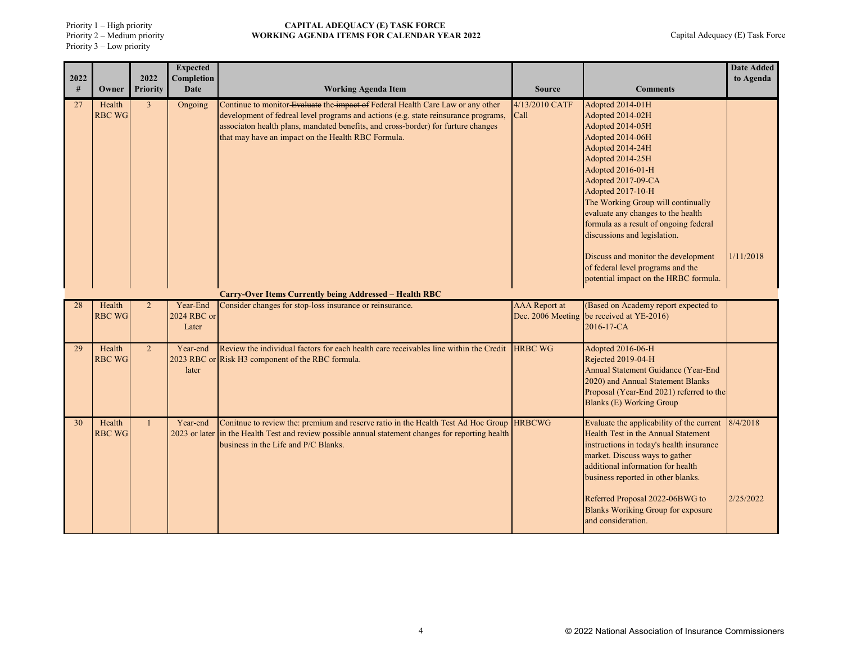Priority 1 – High priority

Priority 2 – Medium priority Priority 3 – Low priority

| 2022 |                         | 2022            | <b>Expected</b><br>Completion    |                                                                                                                                                                                                                                                                                                                   |                                           |                                                                                                                                                                                                                                                                                                                                                                                                                                                                 | <b>Date Added</b><br>to Agenda |
|------|-------------------------|-----------------|----------------------------------|-------------------------------------------------------------------------------------------------------------------------------------------------------------------------------------------------------------------------------------------------------------------------------------------------------------------|-------------------------------------------|-----------------------------------------------------------------------------------------------------------------------------------------------------------------------------------------------------------------------------------------------------------------------------------------------------------------------------------------------------------------------------------------------------------------------------------------------------------------|--------------------------------|
| #    | Owner                   | <b>Priority</b> | Date                             | <b>Working Agenda Item</b>                                                                                                                                                                                                                                                                                        | <b>Source</b>                             | <b>Comments</b>                                                                                                                                                                                                                                                                                                                                                                                                                                                 |                                |
| 27   | Health<br><b>RBC WG</b> | $\mathbf{3}$    | Ongoing                          | Continue to monitor Evaluate the impact of Federal Health Care Law or any other<br>development of fedreal level programs and actions (e.g. state reinsurance programs,<br>associaton health plans, mandated benefits, and cross-border) for furture changes<br>that may have an impact on the Health RBC Formula. | 4/13/2010 CATF<br>Call                    | Adopted 2014-01H<br>Adopted 2014-02H<br>Adopted 2014-05H<br>Adopted 2014-06H<br>Adopted 2014-24H<br>Adopted 2014-25H<br>Adopted 2016-01-H<br>Adopted 2017-09-CA<br>Adopted 2017-10-H<br>The Working Group will continually<br>evaluate any changes to the health<br>formula as a result of ongoing federal<br>discussions and legislation.<br>Discuss and monitor the development<br>of federal level programs and the<br>potential impact on the HRBC formula. | 1/11/2018                      |
|      |                         |                 |                                  | Carry-Over Items Currently being Addressed – Health RBC                                                                                                                                                                                                                                                           |                                           |                                                                                                                                                                                                                                                                                                                                                                                                                                                                 |                                |
| 28   | Health<br><b>RBC WG</b> |                 | Year-End<br>2024 RBC or<br>Later | Consider changes for stop-loss insurance or reinsurance.                                                                                                                                                                                                                                                          | <b>AAA</b> Report at<br>Dec. 2006 Meeting | (Based on Academy report expected to<br>be received at YE-2016)<br>2016-17-CA                                                                                                                                                                                                                                                                                                                                                                                   |                                |
| 29   | Health<br><b>RBC WG</b> | $\overline{2}$  | Year-end<br>later                | Review the individual factors for each health care receivables line within the Credit<br>2023 RBC or Risk H3 component of the RBC formula.                                                                                                                                                                        | <b>HRBC WG</b>                            | Adopted 2016-06-H<br>Rejected 2019-04-H<br>Annual Statement Guidance (Year-End<br>2020) and Annual Statement Blanks<br>Proposal (Year-End 2021) referred to the<br><b>Blanks (E) Working Group</b>                                                                                                                                                                                                                                                              |                                |
| 30   | Health<br><b>RBC WG</b> | $\mathbf{1}$    | Year-end                         | Conitnue to review the: premium and reserve ratio in the Health Test Ad Hoc Group  HRBCWG<br>2023 or later in the Health Test and review possible annual statement changes for reporting health<br>business in the Life and P/C Blanks.                                                                           |                                           | Evaluate the applicability of the current<br>Health Test in the Annual Statement<br>instructions in today's health insurance<br>market. Discuss ways to gather<br>additional information for health<br>business reported in other blanks.<br>Referred Proposal 2022-06BWG to<br><b>Blanks Woriking Group for exposure</b><br>and consideration.                                                                                                                 | 8/4/2018<br>2/25/2022          |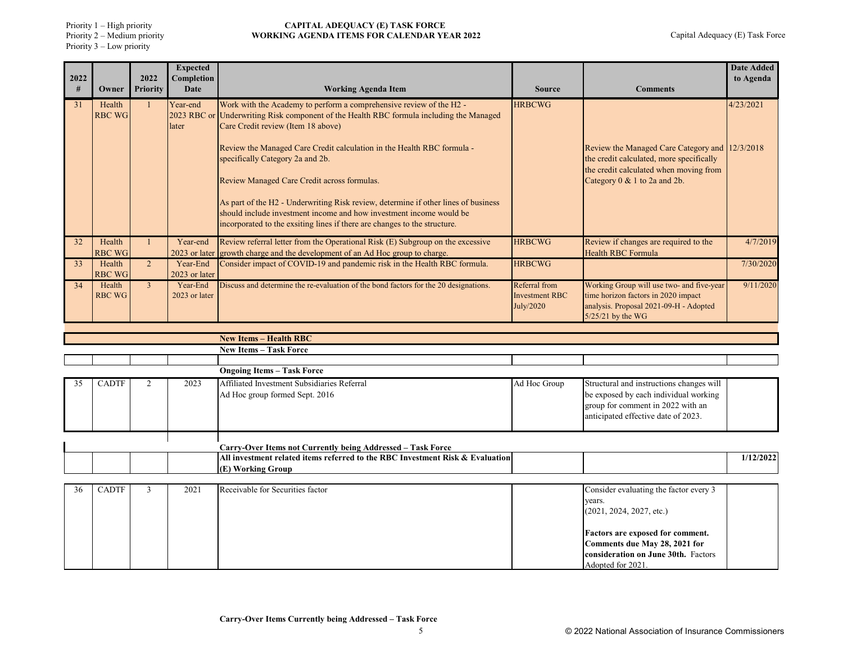Priority 2 – Medium priority Priority 3 – Low priority

| 2022 |                         | 2022           | <b>Expected</b><br>Completion |                                                                                                                                                                                                                                                                                                                                                                                                                                                                                                                                |                                                     |                                                                                                                                                                      | <b>Date Added</b><br>to Agenda |
|------|-------------------------|----------------|-------------------------------|--------------------------------------------------------------------------------------------------------------------------------------------------------------------------------------------------------------------------------------------------------------------------------------------------------------------------------------------------------------------------------------------------------------------------------------------------------------------------------------------------------------------------------|-----------------------------------------------------|----------------------------------------------------------------------------------------------------------------------------------------------------------------------|--------------------------------|
| #    | Owner                   | Priority       | <b>Date</b>                   | <b>Working Agenda Item</b>                                                                                                                                                                                                                                                                                                                                                                                                                                                                                                     | <b>Source</b>                                       | <b>Comments</b>                                                                                                                                                      |                                |
| 31   | Health<br><b>RBC WG</b> |                | Year-end<br>later             | Work with the Academy to perform a comprehensive review of the H2 -<br>2023 RBC or Underwriting Risk component of the Health RBC formula including the Managed<br>Care Credit review (Item 18 above)<br>Review the Managed Care Credit calculation in the Health RBC formula -<br>specifically Category 2a and 2b.<br>Review Managed Care Credit across formulas.<br>As part of the H2 - Underwriting Risk review, determine if other lines of business<br>should include investment income and how investment income would be | <b>HRBCWG</b>                                       | Review the Managed Care Category and 12/3/2018<br>the credit calculated, more specifically<br>the credit calculated when moving from<br>Category 0 & 1 to 2a and 2b. | 4/23/2021                      |
|      |                         |                |                               | incorporated to the exsiting lines if there are changes to the structure.                                                                                                                                                                                                                                                                                                                                                                                                                                                      |                                                     |                                                                                                                                                                      |                                |
| 32   | Health<br><b>RBC WG</b> |                | Year-end                      | Review referral letter from the Operational Risk (E) Subgroup on the excessive<br>2023 or later growth charge and the development of an Ad Hoc group to charge.                                                                                                                                                                                                                                                                                                                                                                | <b>HRBCWG</b>                                       | Review if changes are required to the<br><b>Health RBC Formula</b>                                                                                                   | 4/7/2019                       |
| -33  | Health<br><b>RBC WG</b> | 2 <sup>1</sup> | Year-End<br>2023 or later     | Consider impact of COVID-19 and pandemic risk in the Health RBC formula.                                                                                                                                                                                                                                                                                                                                                                                                                                                       | <b>HRBCWG</b>                                       |                                                                                                                                                                      | 7/30/2020                      |
| 34   | Health<br><b>RBC WG</b> | $\mathcal{E}$  | Year-End<br>2023 or later     | Discuss and determine the re-evaluation of the bond factors for the 20 designations.                                                                                                                                                                                                                                                                                                                                                                                                                                           | Referral from<br><b>Investment RBC</b><br>July/2020 | Working Group will use two- and five-year<br>time horizon factors in 2020 impact<br>analysis. Proposal 2021-09-H - Adopted<br>5/25/21 by the WG                      | 9/11/2020                      |
|      |                         |                |                               |                                                                                                                                                                                                                                                                                                                                                                                                                                                                                                                                |                                                     |                                                                                                                                                                      |                                |
|      |                         |                |                               | <b>New Items - Health RBC</b><br><b>New Items - Task Force</b>                                                                                                                                                                                                                                                                                                                                                                                                                                                                 |                                                     |                                                                                                                                                                      |                                |
|      |                         |                |                               |                                                                                                                                                                                                                                                                                                                                                                                                                                                                                                                                |                                                     |                                                                                                                                                                      |                                |
|      |                         |                |                               | <b>Ongoing Items - Task Force</b>                                                                                                                                                                                                                                                                                                                                                                                                                                                                                              |                                                     |                                                                                                                                                                      |                                |
| 35   | <b>CADTF</b>            |                | 2023                          | Affiliated Investment Subsidiaries Referral<br>Ad Hoc group formed Sept. 2016                                                                                                                                                                                                                                                                                                                                                                                                                                                  | Ad Hoc Group                                        | Structural and instructions changes will<br>be exposed by each individual working                                                                                    |                                |

|  |  |                                                                               | group for comment in 2022 with an<br>anticipated effective date of 2023. |           |
|--|--|-------------------------------------------------------------------------------|--------------------------------------------------------------------------|-----------|
|  |  |                                                                               |                                                                          |           |
|  |  | Carry-Over Items not Currently being Addressed – Task Force                   |                                                                          |           |
|  |  | All investment related items referred to the RBC Investment Risk & Evaluation |                                                                          | 1/12/2022 |
|  |  | (E) Working Group                                                             |                                                                          |           |

| 36 | CADTF | 2021 | Receivable for Securities factor | Consider evaluating the factor every 3 |
|----|-------|------|----------------------------------|----------------------------------------|
|    |       |      |                                  | years.                                 |
|    |       |      |                                  | (2021, 2024, 2027, etc.)               |
|    |       |      |                                  |                                        |
|    |       |      |                                  | Factors are exposed for comment.       |
|    |       |      |                                  | Comments due May 28, 2021 for          |
|    |       |      |                                  | consideration on June 30th. Factors    |
|    |       |      |                                  | Adopted for 2021.                      |